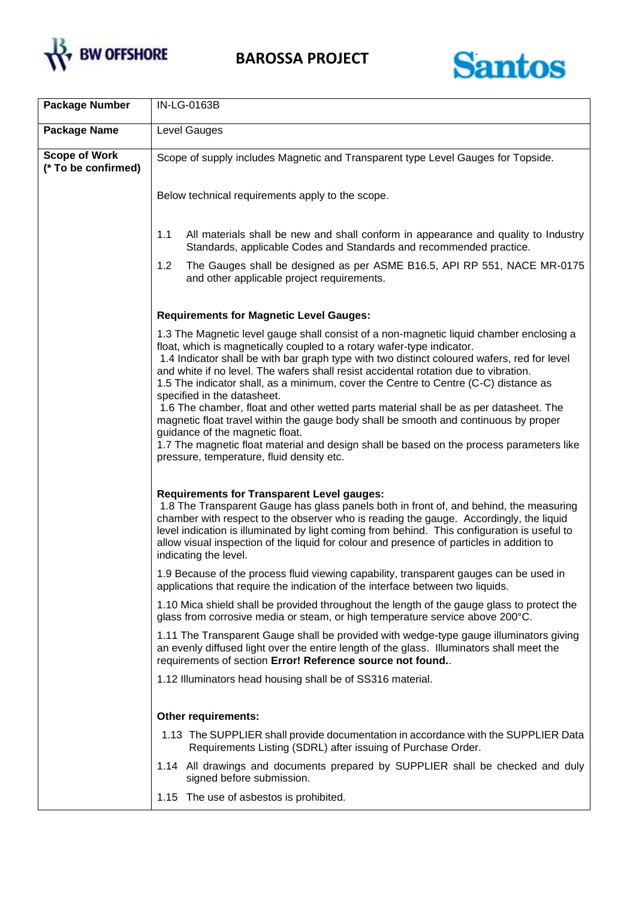



| <b>Package Number</b>                       | IN-LG-0163B                                                                                                                                                                                                                                                                                                                                                                                                                                                                                                                                                                                                                                                                                                                                                                                                                                 |
|---------------------------------------------|---------------------------------------------------------------------------------------------------------------------------------------------------------------------------------------------------------------------------------------------------------------------------------------------------------------------------------------------------------------------------------------------------------------------------------------------------------------------------------------------------------------------------------------------------------------------------------------------------------------------------------------------------------------------------------------------------------------------------------------------------------------------------------------------------------------------------------------------|
| <b>Package Name</b>                         | Level Gauges                                                                                                                                                                                                                                                                                                                                                                                                                                                                                                                                                                                                                                                                                                                                                                                                                                |
| <b>Scope of Work</b><br>(* To be confirmed) | Scope of supply includes Magnetic and Transparent type Level Gauges for Topside.                                                                                                                                                                                                                                                                                                                                                                                                                                                                                                                                                                                                                                                                                                                                                            |
|                                             | Below technical requirements apply to the scope.                                                                                                                                                                                                                                                                                                                                                                                                                                                                                                                                                                                                                                                                                                                                                                                            |
|                                             | 1.1<br>All materials shall be new and shall conform in appearance and quality to Industry<br>Standards, applicable Codes and Standards and recommended practice.                                                                                                                                                                                                                                                                                                                                                                                                                                                                                                                                                                                                                                                                            |
|                                             | 1.2<br>The Gauges shall be designed as per ASME B16.5, API RP 551, NACE MR-0175<br>and other applicable project requirements.                                                                                                                                                                                                                                                                                                                                                                                                                                                                                                                                                                                                                                                                                                               |
|                                             | <b>Requirements for Magnetic Level Gauges:</b>                                                                                                                                                                                                                                                                                                                                                                                                                                                                                                                                                                                                                                                                                                                                                                                              |
|                                             | 1.3 The Magnetic level gauge shall consist of a non-magnetic liquid chamber enclosing a<br>float, which is magnetically coupled to a rotary wafer-type indicator.<br>1.4 Indicator shall be with bar graph type with two distinct coloured wafers, red for level<br>and white if no level. The wafers shall resist accidental rotation due to vibration.<br>1.5 The indicator shall, as a minimum, cover the Centre to Centre (C-C) distance as<br>specified in the datasheet.<br>1.6 The chamber, float and other wetted parts material shall be as per datasheet. The<br>magnetic float travel within the gauge body shall be smooth and continuous by proper<br>guidance of the magnetic float.<br>1.7 The magnetic float material and design shall be based on the process parameters like<br>pressure, temperature, fluid density etc. |
|                                             | <b>Requirements for Transparent Level gauges:</b><br>1.8 The Transparent Gauge has glass panels both in front of, and behind, the measuring<br>chamber with respect to the observer who is reading the gauge. Accordingly, the liquid<br>level indication is illuminated by light coming from behind. This configuration is useful to<br>allow visual inspection of the liquid for colour and presence of particles in addition to<br>indicating the level.                                                                                                                                                                                                                                                                                                                                                                                 |
|                                             | 1.9 Because of the process fluid viewing capability, transparent gauges can be used in<br>applications that require the indication of the interface between two liquids.                                                                                                                                                                                                                                                                                                                                                                                                                                                                                                                                                                                                                                                                    |
|                                             | 1.10 Mica shield shall be provided throughout the length of the gauge glass to protect the<br>glass from corrosive media or steam, or high temperature service above 200°C.                                                                                                                                                                                                                                                                                                                                                                                                                                                                                                                                                                                                                                                                 |
|                                             | 1.11 The Transparent Gauge shall be provided with wedge-type gauge illuminators giving<br>an evenly diffused light over the entire length of the glass. Illuminators shall meet the<br>requirements of section Error! Reference source not found                                                                                                                                                                                                                                                                                                                                                                                                                                                                                                                                                                                            |
|                                             | 1.12 Illuminators head housing shall be of SS316 material.                                                                                                                                                                                                                                                                                                                                                                                                                                                                                                                                                                                                                                                                                                                                                                                  |
|                                             | <b>Other requirements:</b>                                                                                                                                                                                                                                                                                                                                                                                                                                                                                                                                                                                                                                                                                                                                                                                                                  |
|                                             | 1.13 The SUPPLIER shall provide documentation in accordance with the SUPPLIER Data<br>Requirements Listing (SDRL) after issuing of Purchase Order.                                                                                                                                                                                                                                                                                                                                                                                                                                                                                                                                                                                                                                                                                          |
|                                             | 1.14 All drawings and documents prepared by SUPPLIER shall be checked and duly<br>signed before submission.                                                                                                                                                                                                                                                                                                                                                                                                                                                                                                                                                                                                                                                                                                                                 |
|                                             | 1.15 The use of asbestos is prohibited.                                                                                                                                                                                                                                                                                                                                                                                                                                                                                                                                                                                                                                                                                                                                                                                                     |